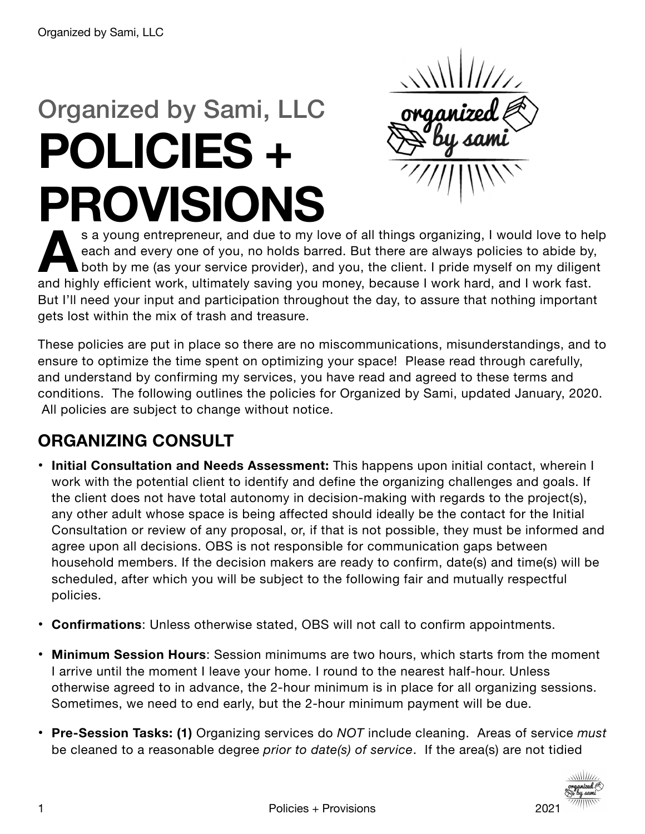# Organized by Sami, LLC **POLICIES + PROVISIONS**

**A**s a young entrepreneur, and due to my love of all things organizing, I would love to help each and every one of you, no holds barred. But there are always policies to abide by, both by me (as your service provider), and you, the client. I pride myself on my diligent and highly efficient work, ultimately saving you money, because I work hard, and I work fast. But I'll need your input and participation throughout the day, to assure that nothing important gets lost within the mix of trash and treasure.

These policies are put in place so there are no miscommunications, misunderstandings, and to ensure to optimize the time spent on optimizing your space! Please read through carefully, and understand by confirming my services, you have read and agreed to these terms and conditions. The following outlines the policies for Organized by Sami, updated January, 2020. All policies are subject to change without notice.

## **ORGANIZING CONSULT**

- **Initial Consultation and Needs Assessment:** This happens upon initial contact, wherein I work with the potential client to identify and define the organizing challenges and goals. If the client does not have total autonomy in decision-making with regards to the project(s), any other adult whose space is being affected should ideally be the contact for the Initial Consultation or review of any proposal, or, if that is not possible, they must be informed and agree upon all decisions. OBS is not responsible for communication gaps between household members. If the decision makers are ready to confirm, date(s) and time(s) will be scheduled, after which you will be subject to the following fair and mutually respectful policies.
- **Confirmations**: Unless otherwise stated, OBS will not call to confirm appointments.
- **Minimum Session Hours**: Session minimums are two hours, which starts from the moment I arrive until the moment I leave your home. I round to the nearest half-hour. Unless otherwise agreed to in advance, the 2-hour minimum is in place for all organizing sessions. Sometimes, we need to end early, but the 2-hour minimum payment will be due.
- **Pre-Session Tasks: (1)** Organizing services do *NOT* include cleaning. Areas of service *must* be cleaned to a reasonable degree *prior to date(s) of service*. If the area(s) are not tidied

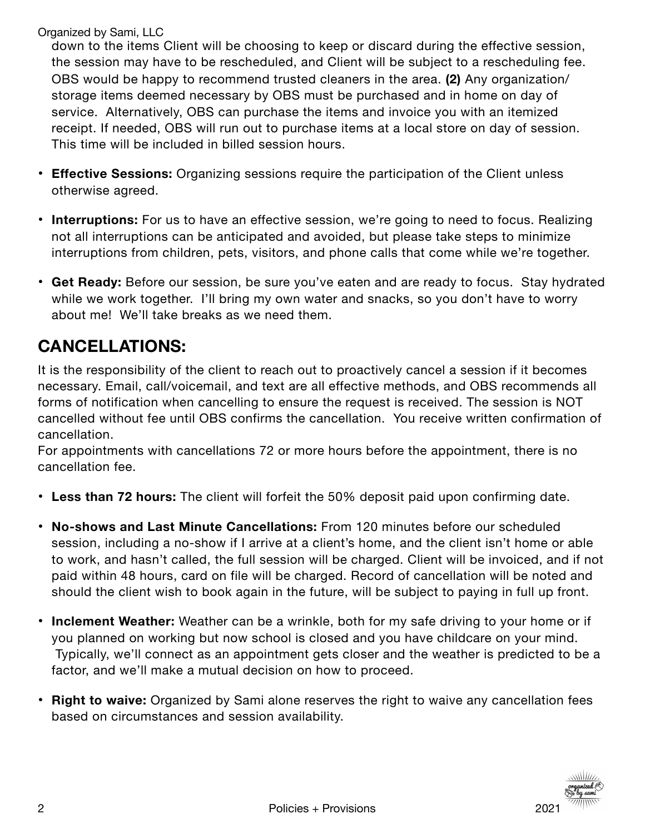down to the items Client will be choosing to keep or discard during the effective session, the session may have to be rescheduled, and Client will be subject to a rescheduling fee. OBS would be happy to recommend trusted cleaners in the area. **(2)** Any organization/ storage items deemed necessary by OBS must be purchased and in home on day of service. Alternatively, OBS can purchase the items and invoice you with an itemized receipt. If needed, OBS will run out to purchase items at a local store on day of session. This time will be included in billed session hours.

- **Effective Sessions:** Organizing sessions require the participation of the Client unless otherwise agreed.
- **Interruptions:** For us to have an effective session, we're going to need to focus. Realizing not all interruptions can be anticipated and avoided, but please take steps to minimize interruptions from children, pets, visitors, and phone calls that come while we're together.
- **Get Ready:** Before our session, be sure you've eaten and are ready to focus. Stay hydrated while we work together. I'll bring my own water and snacks, so you don't have to worry about me! We'll take breaks as we need them.

#### **CANCELLATIONS:**

It is the responsibility of the client to reach out to proactively cancel a session if it becomes necessary. Email, call/voicemail, and text are all effective methods, and OBS recommends all forms of notification when cancelling to ensure the request is received. The session is NOT cancelled without fee until OBS confirms the cancellation. You receive written confirmation of cancellation.

For appointments with cancellations 72 or more hours before the appointment, there is no cancellation fee.

- **Less than 72 hours:** The client will forfeit the 50% deposit paid upon confirming date.
- **No-shows and Last Minute Cancellations:** From 120 minutes before our scheduled session, including a no-show if I arrive at a client's home, and the client isn't home or able to work, and hasn't called, the full session will be charged. Client will be invoiced, and if not paid within 48 hours, card on file will be charged. Record of cancellation will be noted and should the client wish to book again in the future, will be subject to paying in full up front.
- **Inclement Weather:** Weather can be a wrinkle, both for my safe driving to your home or if you planned on working but now school is closed and you have childcare on your mind. Typically, we'll connect as an appointment gets closer and the weather is predicted to be a factor, and we'll make a mutual decision on how to proceed.
- **Right to waive:** Organized by Sami alone reserves the right to waive any cancellation fees based on circumstances and session availability.

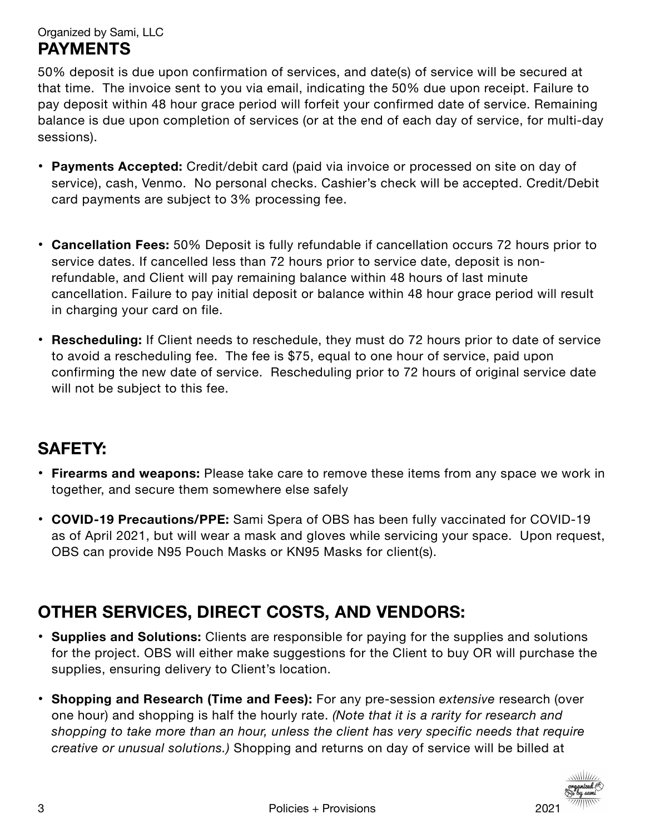Organized by Sami, LLC **PAYMENTS**

50% deposit is due upon confirmation of services, and date(s) of service will be secured at that time. The invoice sent to you via email, indicating the 50% due upon receipt. Failure to pay deposit within 48 hour grace period will forfeit your confirmed date of service. Remaining balance is due upon completion of services (or at the end of each day of service, for multi-day sessions).

- **Payments Accepted:** Credit/debit card (paid via invoice or processed on site on day of service), cash, Venmo. No personal checks. Cashier's check will be accepted. Credit/Debit card payments are subject to 3% processing fee.
- **Cancellation Fees:** 50% Deposit is fully refundable if cancellation occurs 72 hours prior to service dates. If cancelled less than 72 hours prior to service date, deposit is nonrefundable, and Client will pay remaining balance within 48 hours of last minute cancellation. Failure to pay initial deposit or balance within 48 hour grace period will result in charging your card on file.
- **• Rescheduling:** If Client needs to reschedule, they must do 72 hours prior to date of service to avoid a rescheduling fee. The fee is \$75, equal to one hour of service, paid upon confirming the new date of service. Rescheduling prior to 72 hours of original service date will not be subject to this fee.

#### **SAFETY:**

- **Firearms and weapons:** Please take care to remove these items from any space we work in together, and secure them somewhere else safely
- **COVID-19 Precautions/PPE:** Sami Spera of OBS has been fully vaccinated for COVID-19 as of April 2021, but will wear a mask and gloves while servicing your space. Upon request, OBS can provide N95 Pouch Masks or KN95 Masks for client(s).

#### **OTHER SERVICES, DIRECT COSTS, AND VENDORS:**

- **Supplies and Solutions:** Clients are responsible for paying for the supplies and solutions for the project. OBS will either make suggestions for the Client to buy OR will purchase the supplies, ensuring delivery to Client's location.
- **Shopping and Research (Time and Fees):** For any pre-session *extensive* research (over one hour) and shopping is half the hourly rate. *(Note that it is a rarity for research and shopping to take more than an hour, unless the client has very specific needs that require creative or unusual solutions.)* Shopping and returns on day of service will be billed at

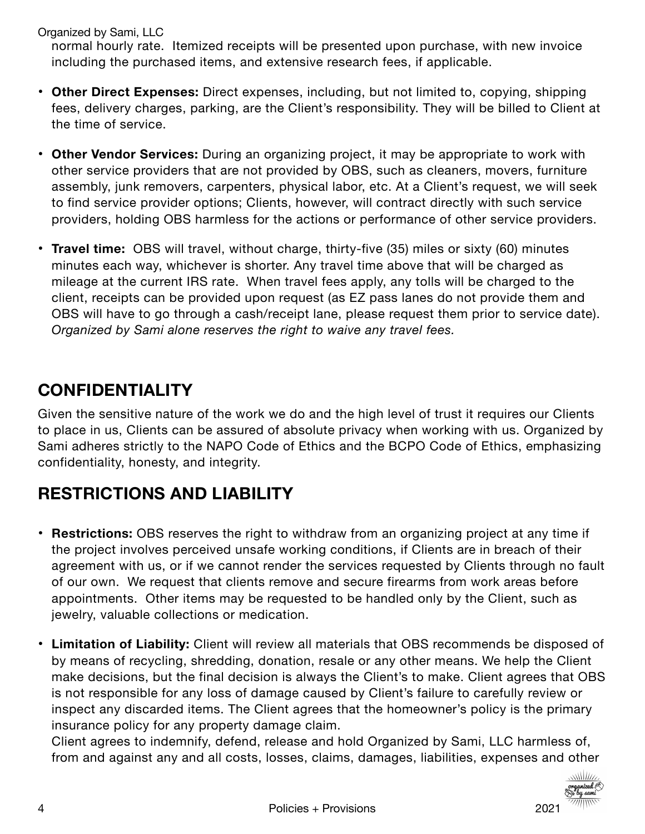normal hourly rate. Itemized receipts will be presented upon purchase, with new invoice including the purchased items, and extensive research fees, if applicable.

- **Other Direct Expenses:** Direct expenses, including, but not limited to, copying, shipping fees, delivery charges, parking, are the Client's responsibility. They will be billed to Client at the time of service.
- **Other Vendor Services:** During an organizing project, it may be appropriate to work with other service providers that are not provided by OBS, such as cleaners, movers, furniture assembly, junk removers, carpenters, physical labor, etc. At a Client's request, we will seek to find service provider options; Clients, however, will contract directly with such service providers, holding OBS harmless for the actions or performance of other service providers.
- **Travel time:** OBS will travel, without charge, thirty-five (35) miles or sixty (60) minutes minutes each way, whichever is shorter. Any travel time above that will be charged as mileage at the current IRS rate. When travel fees apply, any tolls will be charged to the client, receipts can be provided upon request (as EZ pass lanes do not provide them and OBS will have to go through a cash/receipt lane, please request them prior to service date). *Organized by Sami alone reserves the right to waive any travel fees.*

#### **CONFIDENTIALITY**

Given the sensitive nature of the work we do and the high level of trust it requires our Clients to place in us, Clients can be assured of absolute privacy when working with us. Organized by Sami adheres strictly to the NAPO Code of Ethics and the BCPO Code of Ethics, emphasizing confidentiality, honesty, and integrity.

## **RESTRICTIONS AND LIABILITY**

- **Restrictions:** OBS reserves the right to withdraw from an organizing project at any time if the project involves perceived unsafe working conditions, if Clients are in breach of their agreement with us, or if we cannot render the services requested by Clients through no fault of our own. We request that clients remove and secure firearms from work areas before appointments. Other items may be requested to be handled only by the Client, such as jewelry, valuable collections or medication.
- **Limitation of Liability:** Client will review all materials that OBS recommends be disposed of by means of recycling, shredding, donation, resale or any other means. We help the Client make decisions, but the final decision is always the Client's to make. Client agrees that OBS is not responsible for any loss of damage caused by Client's failure to carefully review or inspect any discarded items. The Client agrees that the homeowner's policy is the primary insurance policy for any property damage claim.

Client agrees to indemnify, defend, release and hold Organized by Sami, LLC harmless of, from and against any and all costs, losses, claims, damages, liabilities, expenses and other

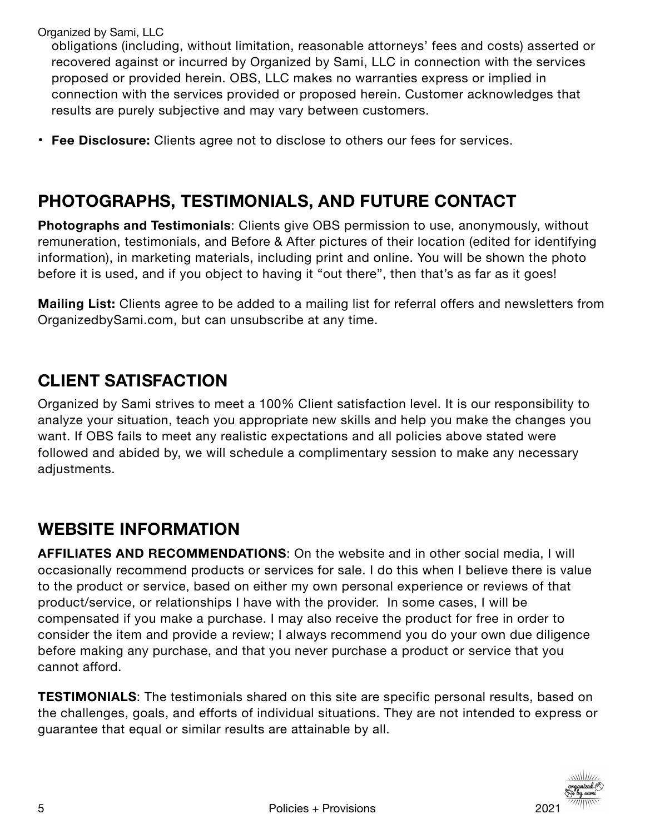obligations (including, without limitation, reasonable attorneys' fees and costs) asserted or recovered against or incurred by Organized by Sami, LLC in connection with the services proposed or provided herein. OBS, LLC makes no warranties express or implied in connection with the services provided or proposed herein. Customer acknowledges that results are purely subjective and may vary between customers.

• **Fee Disclosure:** Clients agree not to disclose to others our fees for services.

## **PHOTOGRAPHS, TESTIMONIALS, AND FUTURE CONTACT**

**Photographs and Testimonials**: Clients give OBS permission to use, anonymously, without remuneration, testimonials, and Before & After pictures of their location (edited for identifying information), in marketing materials, including print and online. You will be shown the photo before it is used, and if you object to having it "out there", then that's as far as it goes!

**Mailing List:** Clients agree to be added to a mailing list for referral offers and newsletters from OrganizedbySami.com, but can unsubscribe at any time.

## **CLIENT SATISFACTION**

Organized by Sami strives to meet a 100% Client satisfaction level. It is our responsibility to analyze your situation, teach you appropriate new skills and help you make the changes you want. If OBS fails to meet any realistic expectations and all policies above stated were followed and abided by, we will schedule a complimentary session to make any necessary adjustments.

## **WEBSITE INFORMATION**

**AFFILIATES AND RECOMMENDATIONS**: On the website and in other social media, I will occasionally recommend products or services for sale. I do this when I believe there is value to the product or service, based on either my own personal experience or reviews of that product/service, or relationships I have with the provider. In some cases, I will be compensated if you make a purchase. I may also receive the product for free in order to consider the item and provide a review; I always recommend you do your own due diligence before making any purchase, and that you never purchase a product or service that you cannot afford.

**TESTIMONIALS**: The testimonials shared on this site are specific personal results, based on the challenges, goals, and efforts of individual situations. They are not intended to express or guarantee that equal or similar results are attainable by all.